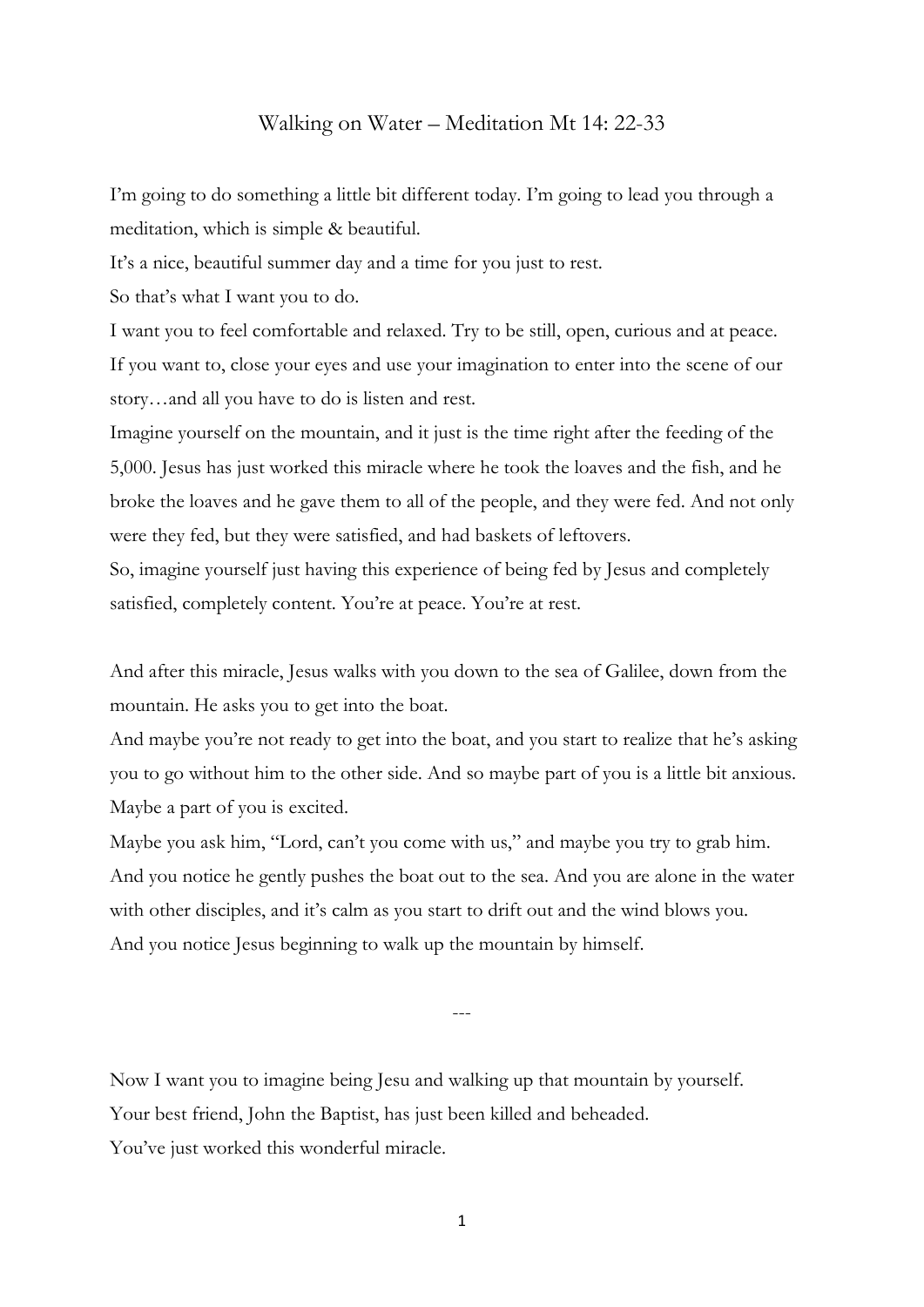## Walking on Water – Meditation Mt 14: 22-33

I'm going to do something a little bit different today. I'm going to lead you through a meditation, which is simple & beautiful.

It's a nice, beautiful summer day and a time for you just to rest.

So that's what I want you to do.

I want you to feel comfortable and relaxed. Try to be still, open, curious and at peace. If you want to, close your eyes and use your imagination to enter into the scene of our story…and all you have to do is listen and rest.

Imagine yourself on the mountain, and it just is the time right after the feeding of the 5,000. Jesus has just worked this miracle where he took the loaves and the fish, and he broke the loaves and he gave them to all of the people, and they were fed. And not only were they fed, but they were satisfied, and had baskets of leftovers.

So, imagine yourself just having this experience of being fed by Jesus and completely satisfied, completely content. You're at peace. You're at rest.

And after this miracle, Jesus walks with you down to the sea of Galilee, down from the mountain. He asks you to get into the boat.

And maybe you're not ready to get into the boat, and you start to realize that he's asking you to go without him to the other side. And so maybe part of you is a little bit anxious. Maybe a part of you is excited.

Maybe you ask him, "Lord, can't you come with us," and maybe you try to grab him. And you notice he gently pushes the boat out to the sea. And you are alone in the water with other disciples, and it's calm as you start to drift out and the wind blows you. And you notice Jesus beginning to walk up the mountain by himself.

---

Now I want you to imagine being Jesu and walking up that mountain by yourself. Your best friend, John the Baptist, has just been killed and beheaded. You've just worked this wonderful miracle.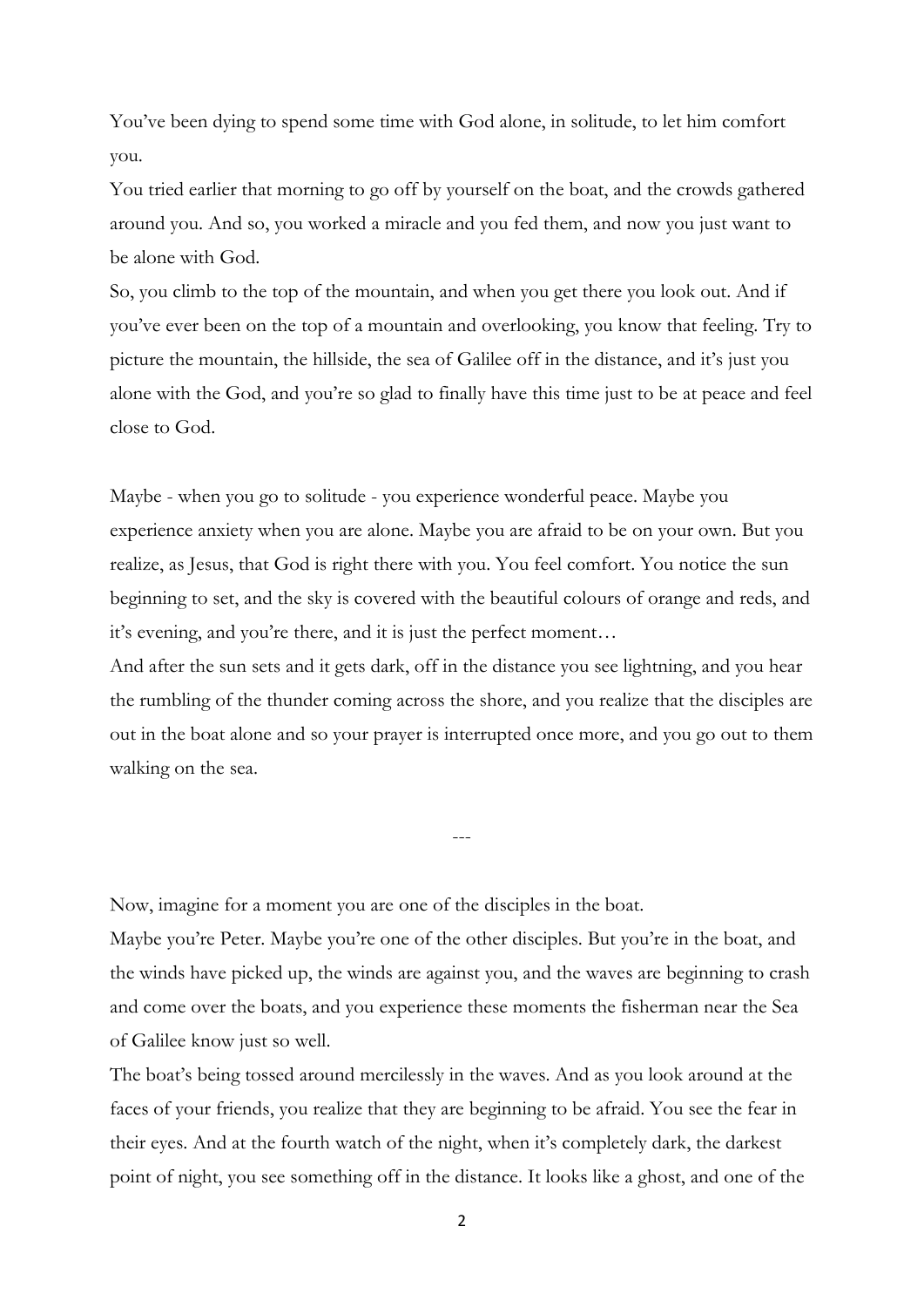You've been dying to spend some time with God alone, in solitude, to let him comfort you.

You tried earlier that morning to go off by yourself on the boat, and the crowds gathered around you. And so, you worked a miracle and you fed them, and now you just want to be alone with God.

So, you climb to the top of the mountain, and when you get there you look out. And if you've ever been on the top of a mountain and overlooking, you know that feeling. Try to picture the mountain, the hillside, the sea of Galilee off in the distance, and it's just you alone with the God, and you're so glad to finally have this time just to be at peace and feel close to God.

Maybe - when you go to solitude - you experience wonderful peace. Maybe you experience anxiety when you are alone. Maybe you are afraid to be on your own. But you realize, as Jesus, that God is right there with you. You feel comfort. You notice the sun beginning to set, and the sky is covered with the beautiful colours of orange and reds, and it's evening, and you're there, and it is just the perfect moment…

And after the sun sets and it gets dark, off in the distance you see lightning, and you hear the rumbling of the thunder coming across the shore, and you realize that the disciples are out in the boat alone and so your prayer is interrupted once more, and you go out to them walking on the sea.

---

Now, imagine for a moment you are one of the disciples in the boat.

Maybe you're Peter. Maybe you're one of the other disciples. But you're in the boat, and the winds have picked up, the winds are against you, and the waves are beginning to crash and come over the boats, and you experience these moments the fisherman near the Sea of Galilee know just so well.

The boat's being tossed around mercilessly in the waves. And as you look around at the faces of your friends, you realize that they are beginning to be afraid. You see the fear in their eyes. And at the fourth watch of the night, when it's completely dark, the darkest point of night, you see something off in the distance. It looks like a ghost, and one of the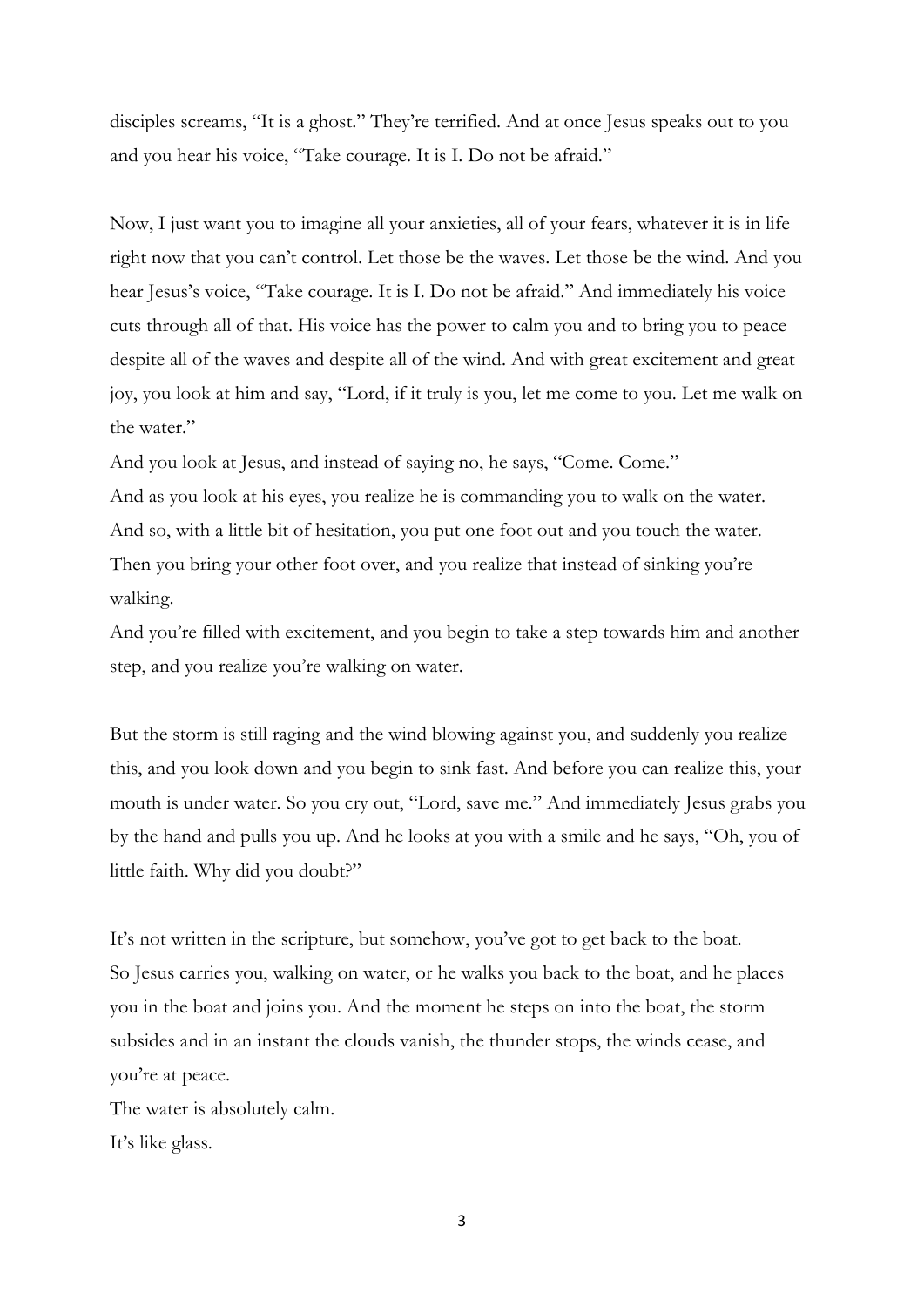disciples screams, "It is a ghost." They're terrified. And at once Jesus speaks out to you and you hear his voice, "Take courage. It is I. Do not be afraid."

Now, I just want you to imagine all your anxieties, all of your fears, whatever it is in life right now that you can't control. Let those be the waves. Let those be the wind. And you hear Jesus's voice, "Take courage. It is I. Do not be afraid." And immediately his voice cuts through all of that. His voice has the power to calm you and to bring you to peace despite all of the waves and despite all of the wind. And with great excitement and great joy, you look at him and say, "Lord, if it truly is you, let me come to you. Let me walk on the water."

And you look at Jesus, and instead of saying no, he says, "Come. Come." And as you look at his eyes, you realize he is commanding you to walk on the water. And so, with a little bit of hesitation, you put one foot out and you touch the water. Then you bring your other foot over, and you realize that instead of sinking you're walking.

And you're filled with excitement, and you begin to take a step towards him and another step, and you realize you're walking on water.

But the storm is still raging and the wind blowing against you, and suddenly you realize this, and you look down and you begin to sink fast. And before you can realize this, your mouth is under water. So you cry out, "Lord, save me." And immediately Jesus grabs you by the hand and pulls you up. And he looks at you with a smile and he says, "Oh, you of little faith. Why did you doubt?"

It's not written in the scripture, but somehow, you've got to get back to the boat. So Jesus carries you, walking on water, or he walks you back to the boat, and he places you in the boat and joins you. And the moment he steps on into the boat, the storm subsides and in an instant the clouds vanish, the thunder stops, the winds cease, and you're at peace.

The water is absolutely calm. It's like glass.